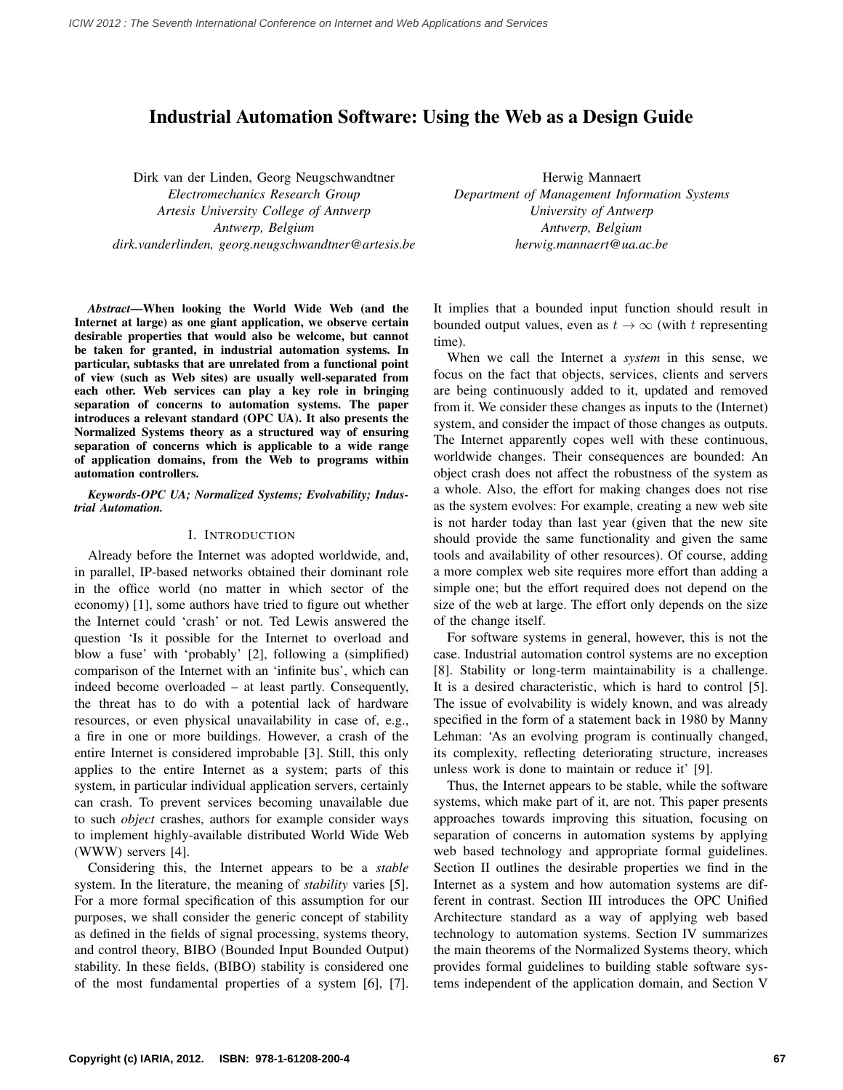# Industrial Automation Software: Using the Web as a Design Guide

Dirk van der Linden, Georg Neugschwandtner *Electromechanics Research Group Artesis University College of Antwerp Antwerp, Belgium dirk.vanderlinden, georg.neugschwandtner@artesis.be*

*Abstract*—When looking the World Wide Web (and the Internet at large) as one giant application, we observe certain desirable properties that would also be welcome, but cannot be taken for granted, in industrial automation systems. In particular, subtasks that are unrelated from a functional point of view (such as Web sites) are usually well-separated from each other. Web services can play a key role in bringing separation of concerns to automation systems. The paper introduces a relevant standard (OPC UA). It also presents the Normalized Systems theory as a structured way of ensuring separation of concerns which is applicable to a wide range of application domains, from the Web to programs within automation controllers.

*Keywords*-*OPC UA; Normalized Systems; Evolvability; Industrial Automation.*

## I. INTRODUCTION

Already before the Internet was adopted worldwide, and, in parallel, IP-based networks obtained their dominant role in the office world (no matter in which sector of the economy) [1], some authors have tried to figure out whether the Internet could 'crash' or not. Ted Lewis answered the question 'Is it possible for the Internet to overload and blow a fuse' with 'probably' [2], following a (simplified) comparison of the Internet with an 'infinite bus', which can indeed become overloaded – at least partly. Consequently, the threat has to do with a potential lack of hardware resources, or even physical unavailability in case of, e.g., a fire in one or more buildings. However, a crash of the entire Internet is considered improbable [3]. Still, this only applies to the entire Internet as a system; parts of this system, in particular individual application servers, certainly can crash. To prevent services becoming unavailable due to such *object* crashes, authors for example consider ways to implement highly-available distributed World Wide Web (WWW) servers [4].

Considering this, the Internet appears to be a *stable* system. In the literature, the meaning of *stability* varies [5]. For a more formal specification of this assumption for our purposes, we shall consider the generic concept of stability as defined in the fields of signal processing, systems theory, and control theory, BIBO (Bounded Input Bounded Output) stability. In these fields, (BIBO) stability is considered one of the most fundamental properties of a system [6], [7].

Herwig Mannaert *Department of Management Information Systems University of Antwerp Antwerp, Belgium herwig.mannaert@ua.ac.be*

It implies that a bounded input function should result in bounded output values, even as  $t \to \infty$  (with t representing time).

When we call the Internet a *system* in this sense, we focus on the fact that objects, services, clients and servers are being continuously added to it, updated and removed from it. We consider these changes as inputs to the (Internet) system, and consider the impact of those changes as outputs. The Internet apparently copes well with these continuous, worldwide changes. Their consequences are bounded: An object crash does not affect the robustness of the system as a whole. Also, the effort for making changes does not rise as the system evolves: For example, creating a new web site is not harder today than last year (given that the new site should provide the same functionality and given the same tools and availability of other resources). Of course, adding a more complex web site requires more effort than adding a simple one; but the effort required does not depend on the size of the web at large. The effort only depends on the size of the change itself.

For software systems in general, however, this is not the case. Industrial automation control systems are no exception [8]. Stability or long-term maintainability is a challenge. It is a desired characteristic, which is hard to control [5]. The issue of evolvability is widely known, and was already specified in the form of a statement back in 1980 by Manny Lehman: 'As an evolving program is continually changed, its complexity, reflecting deteriorating structure, increases unless work is done to maintain or reduce it' [9].

Thus, the Internet appears to be stable, while the software systems, which make part of it, are not. This paper presents approaches towards improving this situation, focusing on separation of concerns in automation systems by applying web based technology and appropriate formal guidelines. Section II outlines the desirable properties we find in the Internet as a system and how automation systems are different in contrast. Section III introduces the OPC Unified Architecture standard as a way of applying web based technology to automation systems. Section IV summarizes the main theorems of the Normalized Systems theory, which provides formal guidelines to building stable software systems independent of the application domain, and Section V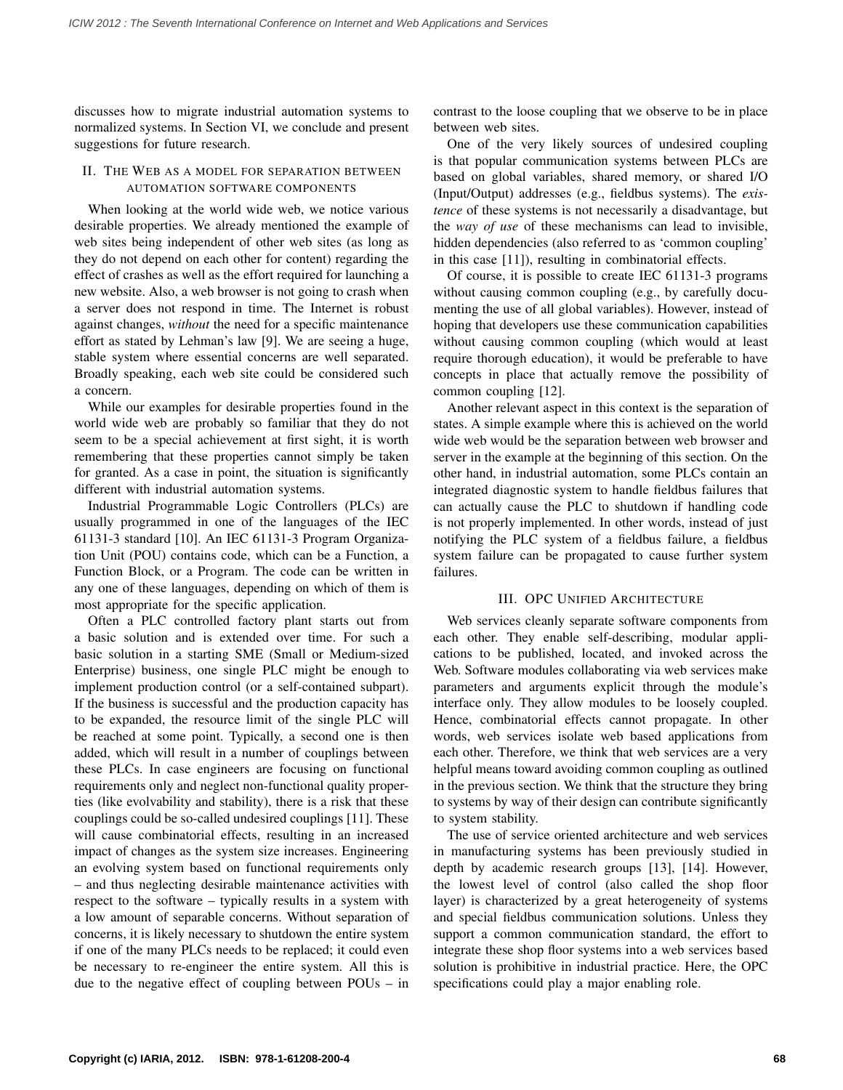discusses how to migrate industrial automation systems to normalized systems. In Section VI, we conclude and present suggestions for future research.

## II. THE WEB AS A MODEL FOR SEPARATION BETWEEN AUTOMATION SOFTWARE COMPONENTS

When looking at the world wide web, we notice various desirable properties. We already mentioned the example of web sites being independent of other web sites (as long as they do not depend on each other for content) regarding the effect of crashes as well as the effort required for launching a new website. Also, a web browser is not going to crash when a server does not respond in time. The Internet is robust against changes, *without* the need for a specific maintenance effort as stated by Lehman's law [9]. We are seeing a huge, stable system where essential concerns are well separated. Broadly speaking, each web site could be considered such a concern.

While our examples for desirable properties found in the world wide web are probably so familiar that they do not seem to be a special achievement at first sight, it is worth remembering that these properties cannot simply be taken for granted. As a case in point, the situation is significantly different with industrial automation systems.

Industrial Programmable Logic Controllers (PLCs) are usually programmed in one of the languages of the IEC 61131-3 standard [10]. An IEC 61131-3 Program Organization Unit (POU) contains code, which can be a Function, a Function Block, or a Program. The code can be written in any one of these languages, depending on which of them is most appropriate for the specific application.

Often a PLC controlled factory plant starts out from a basic solution and is extended over time. For such a basic solution in a starting SME (Small or Medium-sized Enterprise) business, one single PLC might be enough to implement production control (or a self-contained subpart). If the business is successful and the production capacity has to be expanded, the resource limit of the single PLC will be reached at some point. Typically, a second one is then added, which will result in a number of couplings between these PLCs. In case engineers are focusing on functional requirements only and neglect non-functional quality properties (like evolvability and stability), there is a risk that these couplings could be so-called undesired couplings [11]. These will cause combinatorial effects, resulting in an increased impact of changes as the system size increases. Engineering an evolving system based on functional requirements only – and thus neglecting desirable maintenance activities with respect to the software – typically results in a system with a low amount of separable concerns. Without separation of concerns, it is likely necessary to shutdown the entire system if one of the many PLCs needs to be replaced; it could even be necessary to re-engineer the entire system. All this is due to the negative effect of coupling between POUs – in contrast to the loose coupling that we observe to be in place between web sites.

One of the very likely sources of undesired coupling is that popular communication systems between PLCs are based on global variables, shared memory, or shared I/O (Input/Output) addresses (e.g., fieldbus systems). The *existence* of these systems is not necessarily a disadvantage, but the *way of use* of these mechanisms can lead to invisible, hidden dependencies (also referred to as 'common coupling' in this case [11]), resulting in combinatorial effects.

Of course, it is possible to create IEC 61131-3 programs without causing common coupling (e.g., by carefully documenting the use of all global variables). However, instead of hoping that developers use these communication capabilities without causing common coupling (which would at least require thorough education), it would be preferable to have concepts in place that actually remove the possibility of common coupling [12].

Another relevant aspect in this context is the separation of states. A simple example where this is achieved on the world wide web would be the separation between web browser and server in the example at the beginning of this section. On the other hand, in industrial automation, some PLCs contain an integrated diagnostic system to handle fieldbus failures that can actually cause the PLC to shutdown if handling code is not properly implemented. In other words, instead of just notifying the PLC system of a fieldbus failure, a fieldbus system failure can be propagated to cause further system failures.

## III. OPC UNIFIED ARCHITECTURE

Web services cleanly separate software components from each other. They enable self-describing, modular applications to be published, located, and invoked across the Web. Software modules collaborating via web services make parameters and arguments explicit through the module's interface only. They allow modules to be loosely coupled. Hence, combinatorial effects cannot propagate. In other words, web services isolate web based applications from each other. Therefore, we think that web services are a very helpful means toward avoiding common coupling as outlined in the previous section. We think that the structure they bring to systems by way of their design can contribute significantly to system stability.

The use of service oriented architecture and web services in manufacturing systems has been previously studied in depth by academic research groups [13], [14]. However, the lowest level of control (also called the shop floor layer) is characterized by a great heterogeneity of systems and special fieldbus communication solutions. Unless they support a common communication standard, the effort to integrate these shop floor systems into a web services based solution is prohibitive in industrial practice. Here, the OPC specifications could play a major enabling role.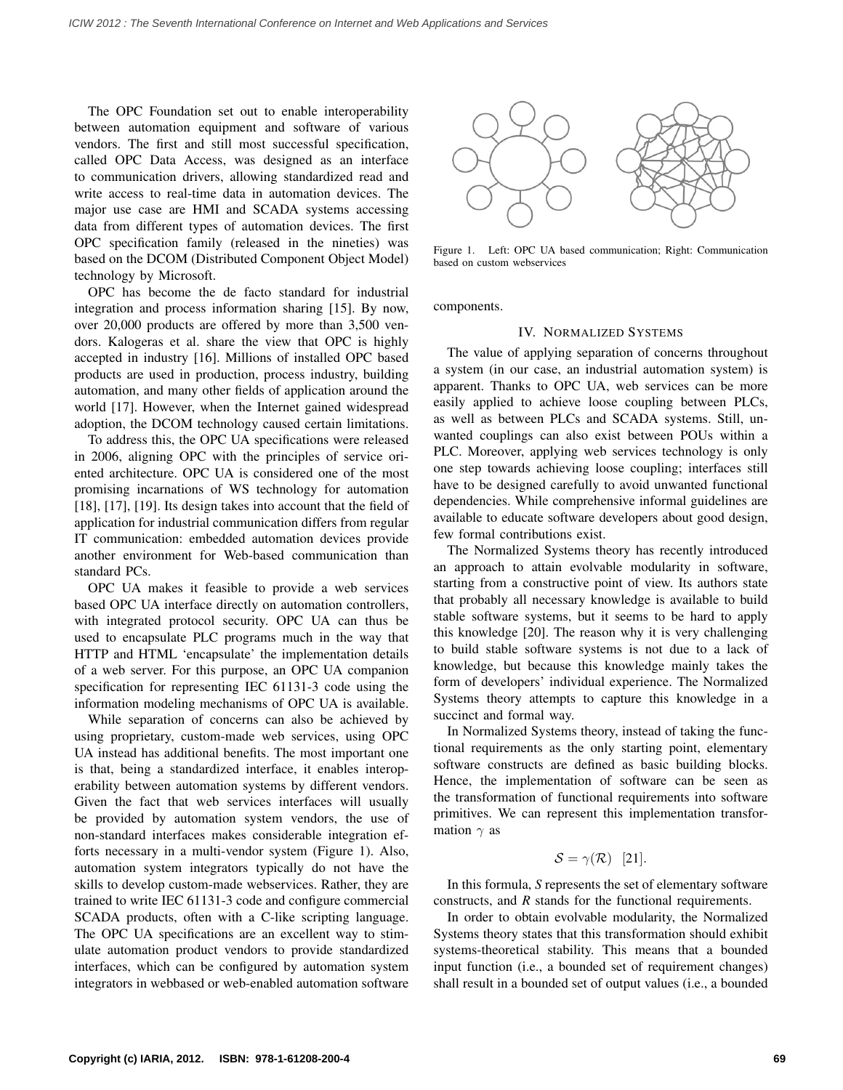The OPC Foundation set out to enable interoperability between automation equipment and software of various vendors. The first and still most successful specification, called OPC Data Access, was designed as an interface to communication drivers, allowing standardized read and write access to real-time data in automation devices. The major use case are HMI and SCADA systems accessing data from different types of automation devices. The first OPC specification family (released in the nineties) was based on the DCOM (Distributed Component Object Model) technology by Microsoft.

OPC has become the de facto standard for industrial integration and process information sharing [15]. By now, over 20,000 products are offered by more than 3,500 vendors. Kalogeras et al. share the view that OPC is highly accepted in industry [16]. Millions of installed OPC based products are used in production, process industry, building automation, and many other fields of application around the world [17]. However, when the Internet gained widespread adoption, the DCOM technology caused certain limitations.

To address this, the OPC UA specifications were released in 2006, aligning OPC with the principles of service oriented architecture. OPC UA is considered one of the most promising incarnations of WS technology for automation [18], [17], [19]. Its design takes into account that the field of application for industrial communication differs from regular IT communication: embedded automation devices provide another environment for Web-based communication than standard PCs.

OPC UA makes it feasible to provide a web services based OPC UA interface directly on automation controllers, with integrated protocol security. OPC UA can thus be used to encapsulate PLC programs much in the way that HTTP and HTML 'encapsulate' the implementation details of a web server. For this purpose, an OPC UA companion specification for representing IEC 61131-3 code using the information modeling mechanisms of OPC UA is available.

While separation of concerns can also be achieved by using proprietary, custom-made web services, using OPC UA instead has additional benefits. The most important one is that, being a standardized interface, it enables interoperability between automation systems by different vendors. Given the fact that web services interfaces will usually be provided by automation system vendors, the use of non-standard interfaces makes considerable integration efforts necessary in a multi-vendor system (Figure 1). Also, automation system integrators typically do not have the skills to develop custom-made webservices. Rather, they are trained to write IEC 61131-3 code and configure commercial SCADA products, often with a C-like scripting language. The OPC UA specifications are an excellent way to stimulate automation product vendors to provide standardized interfaces, which can be configured by automation system integrators in webbased or web-enabled automation software



Figure 1. Left: OPC UA based communication; Right: Communication based on custom webservices

components.

#### IV. NORMALIZED SYSTEMS

The value of applying separation of concerns throughout a system (in our case, an industrial automation system) is apparent. Thanks to OPC UA, web services can be more easily applied to achieve loose coupling between PLCs, as well as between PLCs and SCADA systems. Still, unwanted couplings can also exist between POUs within a PLC. Moreover, applying web services technology is only one step towards achieving loose coupling; interfaces still have to be designed carefully to avoid unwanted functional dependencies. While comprehensive informal guidelines are available to educate software developers about good design, few formal contributions exist.

The Normalized Systems theory has recently introduced an approach to attain evolvable modularity in software, starting from a constructive point of view. Its authors state that probably all necessary knowledge is available to build stable software systems, but it seems to be hard to apply this knowledge [20]. The reason why it is very challenging to build stable software systems is not due to a lack of knowledge, but because this knowledge mainly takes the form of developers' individual experience. The Normalized Systems theory attempts to capture this knowledge in a succinct and formal way.

In Normalized Systems theory, instead of taking the functional requirements as the only starting point, elementary software constructs are defined as basic building blocks. Hence, the implementation of software can be seen as the transformation of functional requirements into software primitives. We can represent this implementation transformation  $\gamma$  as

$$
S=\gamma(\mathcal{R})\quad [21].
$$

In this formula, *S* represents the set of elementary software constructs, and *R* stands for the functional requirements.

In order to obtain evolvable modularity, the Normalized Systems theory states that this transformation should exhibit systems-theoretical stability. This means that a bounded input function (i.e., a bounded set of requirement changes) shall result in a bounded set of output values (i.e., a bounded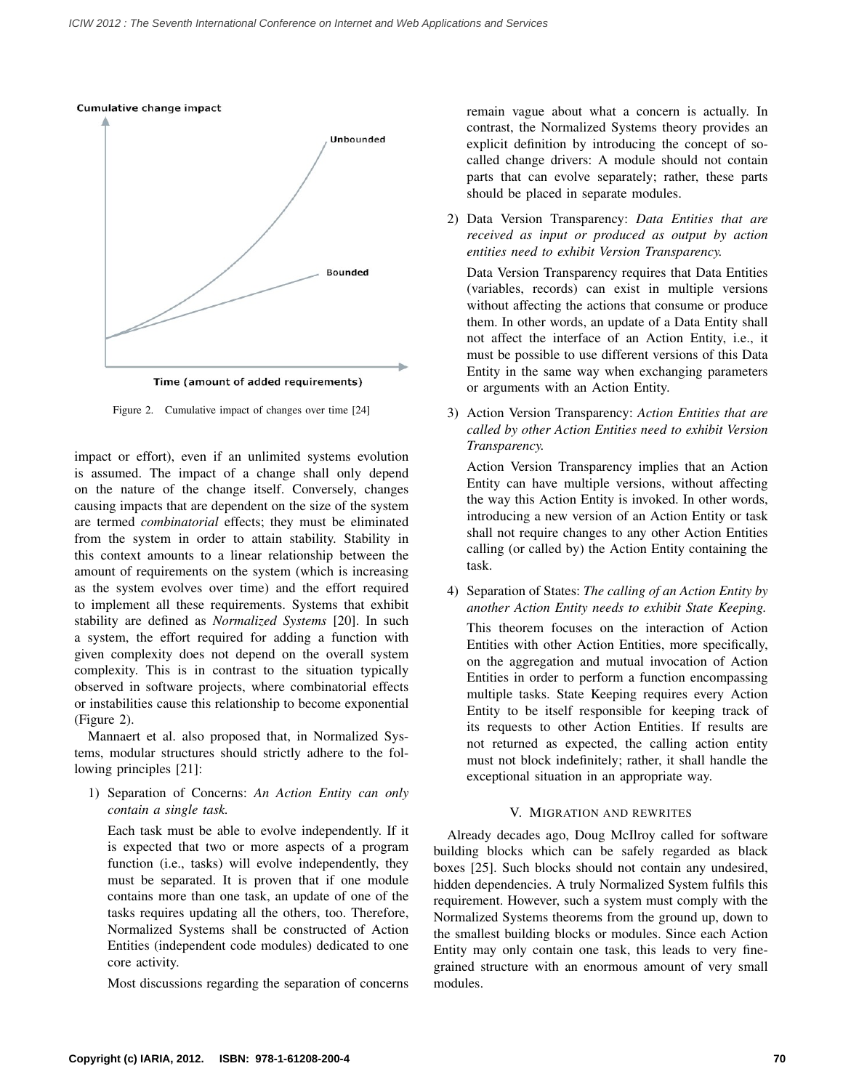#### Cumulative change impact



Time (amount of added requirements)

Figure 2. Cumulative impact of changes over time [24]

impact or effort), even if an unlimited systems evolution is assumed. The impact of a change shall only depend on the nature of the change itself. Conversely, changes causing impacts that are dependent on the size of the system are termed *combinatorial* effects; they must be eliminated from the system in order to attain stability. Stability in this context amounts to a linear relationship between the amount of requirements on the system (which is increasing as the system evolves over time) and the effort required to implement all these requirements. Systems that exhibit stability are defined as *Normalized Systems* [20]. In such a system, the effort required for adding a function with given complexity does not depend on the overall system complexity. This is in contrast to the situation typically observed in software projects, where combinatorial effects or instabilities cause this relationship to become exponential (Figure 2).

Mannaert et al. also proposed that, in Normalized Systems, modular structures should strictly adhere to the following principles [21]:

1) Separation of Concerns: *An Action Entity can only contain a single task.*

Each task must be able to evolve independently. If it is expected that two or more aspects of a program function (i.e., tasks) will evolve independently, they must be separated. It is proven that if one module contains more than one task, an update of one of the tasks requires updating all the others, too. Therefore, Normalized Systems shall be constructed of Action Entities (independent code modules) dedicated to one core activity.

Most discussions regarding the separation of concerns

remain vague about what a concern is actually. In contrast, the Normalized Systems theory provides an explicit definition by introducing the concept of socalled change drivers: A module should not contain parts that can evolve separately; rather, these parts should be placed in separate modules.

2) Data Version Transparency: *Data Entities that are received as input or produced as output by action entities need to exhibit Version Transparency.*

Data Version Transparency requires that Data Entities (variables, records) can exist in multiple versions without affecting the actions that consume or produce them. In other words, an update of a Data Entity shall not affect the interface of an Action Entity, i.e., it must be possible to use different versions of this Data Entity in the same way when exchanging parameters or arguments with an Action Entity.

3) Action Version Transparency: *Action Entities that are called by other Action Entities need to exhibit Version Transparency.*

Action Version Transparency implies that an Action Entity can have multiple versions, without affecting the way this Action Entity is invoked. In other words, introducing a new version of an Action Entity or task shall not require changes to any other Action Entities calling (or called by) the Action Entity containing the task.

4) Separation of States: *The calling of an Action Entity by another Action Entity needs to exhibit State Keeping.*

This theorem focuses on the interaction of Action Entities with other Action Entities, more specifically, on the aggregation and mutual invocation of Action Entities in order to perform a function encompassing multiple tasks. State Keeping requires every Action Entity to be itself responsible for keeping track of its requests to other Action Entities. If results are not returned as expected, the calling action entity must not block indefinitely; rather, it shall handle the exceptional situation in an appropriate way.

### V. MIGRATION AND REWRITES

Already decades ago, Doug McIlroy called for software building blocks which can be safely regarded as black boxes [25]. Such blocks should not contain any undesired, hidden dependencies. A truly Normalized System fulfils this requirement. However, such a system must comply with the Normalized Systems theorems from the ground up, down to the smallest building blocks or modules. Since each Action Entity may only contain one task, this leads to very finegrained structure with an enormous amount of very small modules.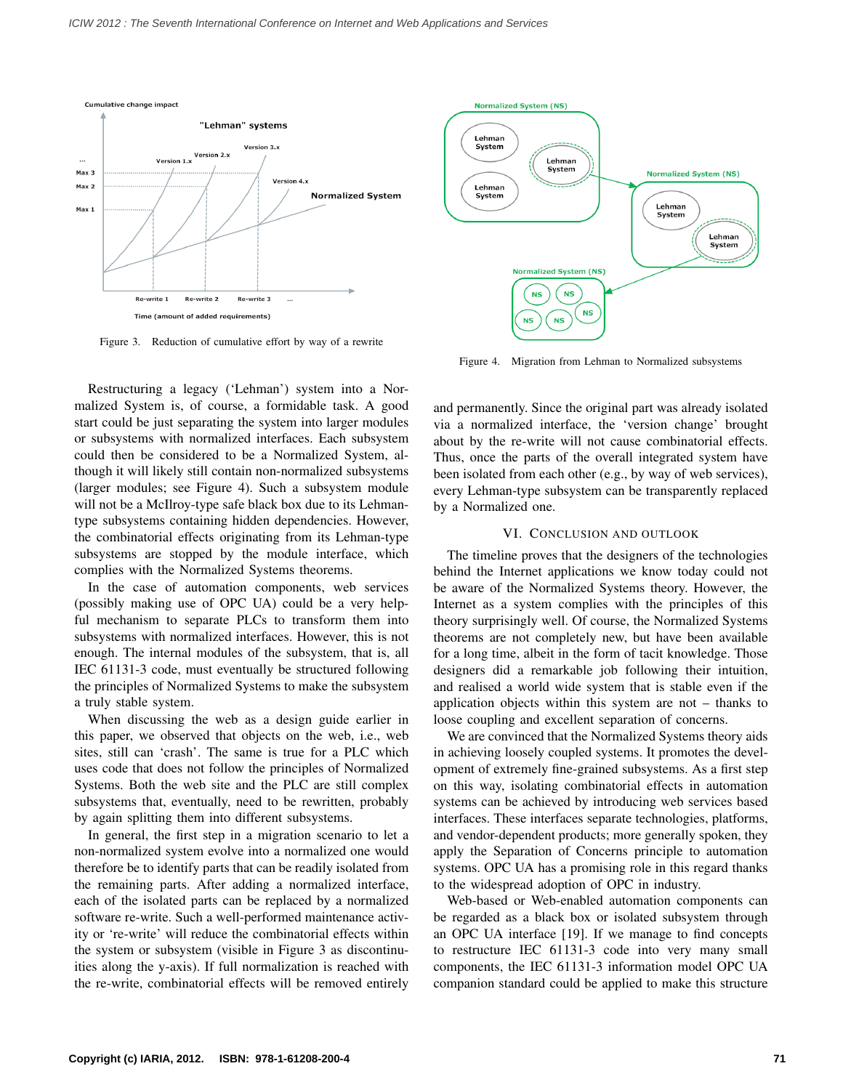

Figure 3. Reduction of cumulative effort by way of a rewrite

Restructuring a legacy ('Lehman') system into a Normalized System is, of course, a formidable task. A good start could be just separating the system into larger modules or subsystems with normalized interfaces. Each subsystem could then be considered to be a Normalized System, although it will likely still contain non-normalized subsystems (larger modules; see Figure 4). Such a subsystem module will not be a McIlroy-type safe black box due to its Lehmantype subsystems containing hidden dependencies. However, the combinatorial effects originating from its Lehman-type subsystems are stopped by the module interface, which complies with the Normalized Systems theorems.

In the case of automation components, web services (possibly making use of OPC UA) could be a very helpful mechanism to separate PLCs to transform them into subsystems with normalized interfaces. However, this is not enough. The internal modules of the subsystem, that is, all IEC 61131-3 code, must eventually be structured following the principles of Normalized Systems to make the subsystem a truly stable system.

When discussing the web as a design guide earlier in this paper, we observed that objects on the web, i.e., web sites, still can 'crash'. The same is true for a PLC which uses code that does not follow the principles of Normalized Systems. Both the web site and the PLC are still complex subsystems that, eventually, need to be rewritten, probably by again splitting them into different subsystems.

In general, the first step in a migration scenario to let a non-normalized system evolve into a normalized one would therefore be to identify parts that can be readily isolated from the remaining parts. After adding a normalized interface, each of the isolated parts can be replaced by a normalized software re-write. Such a well-performed maintenance activity or 're-write' will reduce the combinatorial effects within the system or subsystem (visible in Figure 3 as discontinuities along the y-axis). If full normalization is reached with the re-write, combinatorial effects will be removed entirely



Figure 4. Migration from Lehman to Normalized subsystems

and permanently. Since the original part was already isolated via a normalized interface, the 'version change' brought about by the re-write will not cause combinatorial effects. Thus, once the parts of the overall integrated system have been isolated from each other (e.g., by way of web services), every Lehman-type subsystem can be transparently replaced by a Normalized one.

#### VI. CONCLUSION AND OUTLOOK

The timeline proves that the designers of the technologies behind the Internet applications we know today could not be aware of the Normalized Systems theory. However, the Internet as a system complies with the principles of this theory surprisingly well. Of course, the Normalized Systems theorems are not completely new, but have been available for a long time, albeit in the form of tacit knowledge. Those designers did a remarkable job following their intuition, and realised a world wide system that is stable even if the application objects within this system are not – thanks to loose coupling and excellent separation of concerns.

We are convinced that the Normalized Systems theory aids in achieving loosely coupled systems. It promotes the development of extremely fine-grained subsystems. As a first step on this way, isolating combinatorial effects in automation systems can be achieved by introducing web services based interfaces. These interfaces separate technologies, platforms, and vendor-dependent products; more generally spoken, they apply the Separation of Concerns principle to automation systems. OPC UA has a promising role in this regard thanks to the widespread adoption of OPC in industry.

Web-based or Web-enabled automation components can be regarded as a black box or isolated subsystem through an OPC UA interface [19]. If we manage to find concepts to restructure IEC 61131-3 code into very many small components, the IEC 61131-3 information model OPC UA companion standard could be applied to make this structure